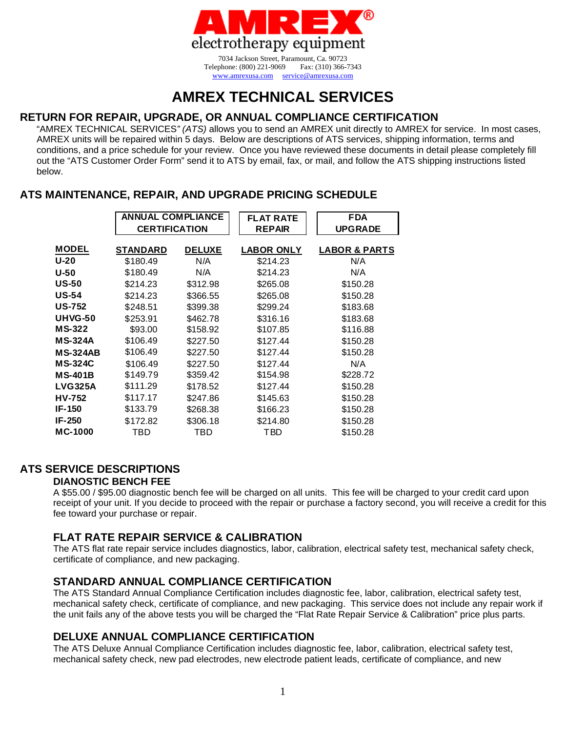

www.amrexusa.com service@amrexusa.com

# **AMREX TECHNICAL SERVICES**

# **RETURN FOR REPAIR, UPGRADE, OR ANNUAL COMPLIANCE CERTIFICATION**

"AMREX TECHNICAL SERVICES*" (ATS)* allows you to send an AMREX unit directly to AMREX for service. In most cases, AMREX units will be repaired within 5 days. Below are descriptions of ATS services, shipping information, terms and conditions, and a price schedule for your review. Once you have reviewed these documents in detail please completely fill out the "ATS Customer Order Form" send it to ATS by email, fax, or mail, and follow the ATS shipping instructions listed below.

# **ATS MAINTENANCE, REPAIR, AND UPGRADE PRICING SCHEDULE**

|                 | <b>ANNUAL COMPLIANCE</b> |               | <b>FLAT RATE</b>  | <b>FDA</b>               |
|-----------------|--------------------------|---------------|-------------------|--------------------------|
|                 | <b>CERTIFICATION</b>     |               | <b>REPAIR</b>     | <b>UPGRADE</b>           |
| <b>MODEL</b>    | <b>STANDARD</b>          | <b>DELUXE</b> | <b>LABOR ONLY</b> | <b>LABOR &amp; PARTS</b> |
| U-20            | \$180.49                 | N/A           | \$214.23          | N/A                      |
| $U-50$          | \$180.49                 | N/A           | \$214.23          | N/A                      |
| <b>US-50</b>    | \$214.23                 | \$312.98      | \$265.08          | \$150.28                 |
| <b>US-54</b>    | \$214.23                 | \$366.55      | \$265.08          | \$150.28                 |
| <b>US-752</b>   | \$248.51                 | \$399.38      | \$299.24          | \$183.68                 |
| <b>UHVG-50</b>  | \$253.91                 | \$462.78      | \$316.16          | \$183.68                 |
| <b>MS-322</b>   | \$93.00                  | \$158.92      | \$107.85          | \$116.88                 |
| <b>MS-324A</b>  | \$106.49                 | \$227.50      | \$127.44          | \$150.28                 |
| <b>MS-324AB</b> | \$106.49                 | \$227.50      | \$127.44          | \$150.28                 |
| <b>MS-324C</b>  | \$106.49                 | \$227.50      | \$127.44          | N/A                      |
| <b>MS-401B</b>  | \$149.79                 | \$359.42      | \$154.98          | \$228.72                 |
| <b>LVG325A</b>  | \$111.29                 | \$178.52      | \$127.44          | \$150.28                 |
| <b>HV-752</b>   | \$117.17                 | \$247.86      | \$145.63          | \$150.28                 |
| <b>IF-150</b>   | \$133.79                 | \$268.38      | \$166.23          | \$150.28                 |
| <b>IF-250</b>   | \$172.82                 | \$306.18      | \$214.80          | \$150.28                 |
| MC-1000         | TBD                      | TBD           | TBD               | \$150.28                 |

# **ATS SERVICE DESCRIPTIONS**

## **DIANOSTIC BENCH FEE**

A \$55.00 / \$95.00 diagnostic bench fee will be charged on all units. This fee will be charged to your credit card upon receipt of your unit. If you decide to proceed with the repair or purchase a factory second, you will receive a credit for this fee toward your purchase or repair.

# **FLAT RATE REPAIR SERVICE & CALIBRATION**

The ATS flat rate repair service includes diagnostics, labor, calibration, electrical safety test, mechanical safety check, certificate of compliance, and new packaging.

# **STANDARD ANNUAL COMPLIANCE CERTIFICATION**

The ATS Standard Annual Compliance Certification includes diagnostic fee, labor, calibration, electrical safety test, mechanical safety check, certificate of compliance, and new packaging. This service does not include any repair work if the unit fails any of the above tests you will be charged the "Flat Rate Repair Service & Calibration" price plus parts.

# **DELUXE ANNUAL COMPLIANCE CERTIFICATION**

The ATS Deluxe Annual Compliance Certification includes diagnostic fee, labor, calibration, electrical safety test, mechanical safety check, new pad electrodes, new electrode patient leads, certificate of compliance, and new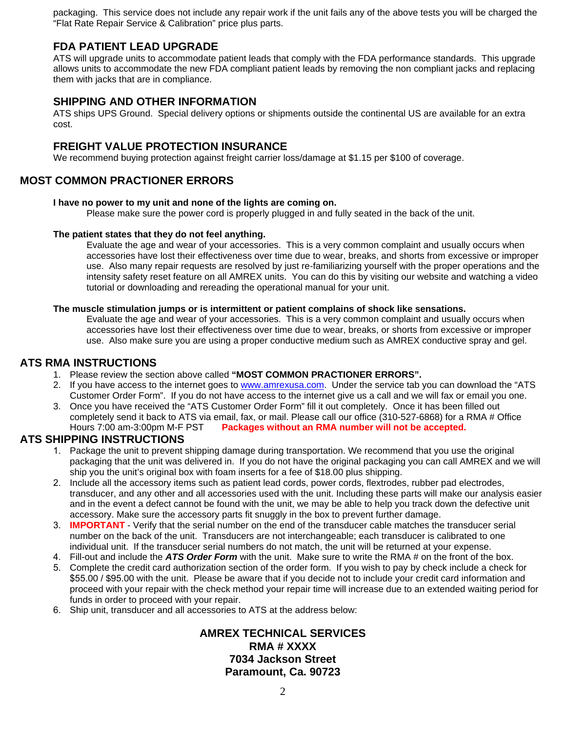packaging. This service does not include any repair work if the unit fails any of the above tests you will be charged the "Flat Rate Repair Service & Calibration" price plus parts.

### **FDA PATIENT LEAD UPGRADE**

ATS will upgrade units to accommodate patient leads that comply with the FDA performance standards. This upgrade allows units to accommodate the new FDA compliant patient leads by removing the non compliant jacks and replacing them with jacks that are in compliance.

### **SHIPPING AND OTHER INFORMATION**

ATS ships UPS Ground. Special delivery options or shipments outside the continental US are available for an extra cost.

### **FREIGHT VALUE PROTECTION INSURANCE**

We recommend buying protection against freight carrier loss/damage at \$1.15 per \$100 of coverage.

### **MOST COMMON PRACTIONER ERRORS**

#### **I have no power to my unit and none of the lights are coming on.**

Please make sure the power cord is properly plugged in and fully seated in the back of the unit.

#### **The patient states that they do not feel anything.**

Evaluate the age and wear of your accessories. This is a very common complaint and usually occurs when accessories have lost their effectiveness over time due to wear, breaks, and shorts from excessive or improper use. Also many repair requests are resolved by just re-familiarizing yourself with the proper operations and the intensity safety reset feature on all AMREX units. You can do this by visiting our website and watching a video tutorial or downloading and rereading the operational manual for your unit.

#### **The muscle stimulation jumps or is intermittent or patient complains of shock like sensations.**

Evaluate the age and wear of your accessories. This is a very common complaint and usually occurs when accessories have lost their effectiveness over time due to wear, breaks, or shorts from excessive or improper use. Also make sure you are using a proper conductive medium such as AMREX conductive spray and gel.

### **ATS RMA INSTRUCTIONS**

- 1. Please review the section above called **"MOST COMMON PRACTIONER ERRORS".**
- 2. If you have access to the internet goes to www.amrexusa.com. Under the service tab you can download the "ATS Customer Order Form". If you do not have access to the internet give us a call and we will fax or email you one.
- 3. Once you have received the "ATS Customer Order Form" fill it out completely. Once it has been filled out completely send it back to ATS via email, fax, or mail. Please call our office (310-527-6868) for a RMA # Office Hours 7:00 am-3:00pm M-F PST **Packages without an RMA number will not be accepted.**

### **ATS SHIPPING INSTRUCTIONS**

- 1. Package the unit to prevent shipping damage during transportation. We recommend that you use the original packaging that the unit was delivered in. If you do not have the original packaging you can call AMREX and we will ship you the unit's original box with foam inserts for a fee of \$18.00 plus shipping.
- 2. Include all the accessory items such as patient lead cords, power cords, flextrodes, rubber pad electrodes, transducer, and any other and all accessories used with the unit. Including these parts will make our analysis easier and in the event a defect cannot be found with the unit, we may be able to help you track down the defective unit accessory. Make sure the accessory parts fit snuggly in the box to prevent further damage.
- 3. **IMPORTANT** Verify that the serial number on the end of the transducer cable matches the transducer serial number on the back of the unit. Transducers are not interchangeable; each transducer is calibrated to one individual unit. If the transducer serial numbers do not match, the unit will be returned at your expense.
- 4. Fill-out and include the *ATS Order Form* with the unit. Make sure to write the RMA # on the front of the box.
- 5. Complete the credit card authorization section of the order form. If you wish to pay by check include a check for \$55.00 / \$95.00 with the unit. Please be aware that if you decide not to include your credit card information and proceed with your repair with the check method your repair time will increase due to an extended waiting period for funds in order to proceed with your repair.
- 6. Ship unit, transducer and all accessories to ATS at the address below:

**AMREX TECHNICAL SERVICES RMA # XXXX 7034 Jackson Street Paramount, Ca. 90723**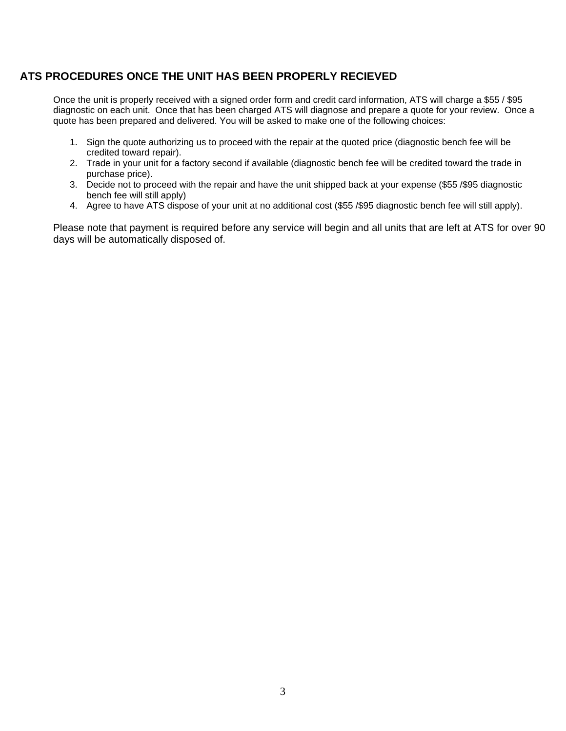## **ATS PROCEDURES ONCE THE UNIT HAS BEEN PROPERLY RECIEVED**

Once the unit is properly received with a signed order form and credit card information, ATS will charge a \$55 / \$95 diagnostic on each unit. Once that has been charged ATS will diagnose and prepare a quote for your review. Once a quote has been prepared and delivered. You will be asked to make one of the following choices:

- 1. Sign the quote authorizing us to proceed with the repair at the quoted price (diagnostic bench fee will be credited toward repair).
- 2. Trade in your unit for a factory second if available (diagnostic bench fee will be credited toward the trade in purchase price).
- 3. Decide not to proceed with the repair and have the unit shipped back at your expense (\$55 /\$95 diagnostic bench fee will still apply)
- 4. Agree to have ATS dispose of your unit at no additional cost (\$55 /\$95 diagnostic bench fee will still apply).

Please note that payment is required before any service will begin and all units that are left at ATS for over 90 days will be automatically disposed of.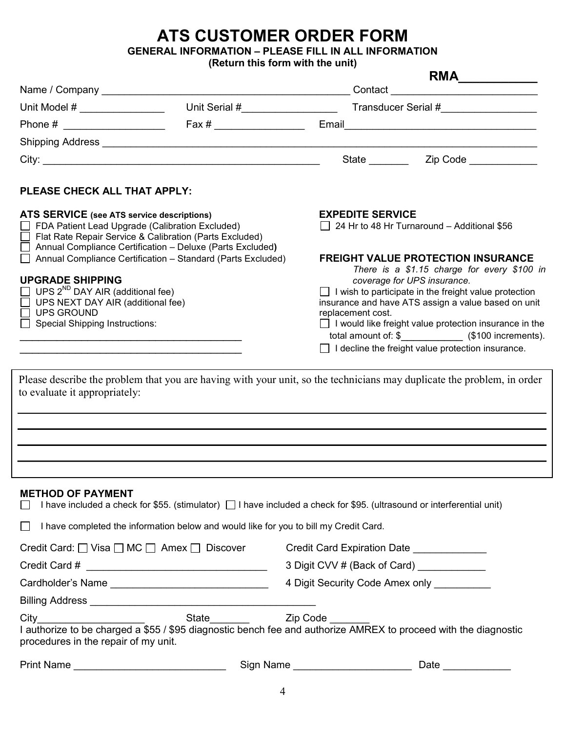# ATS CUSTOMER ORDER FORM

GENERAL INFORMATION – PLEASE FILL IN ALL INFORMATION

(Return this form with the unit)

|                                                                                                                                                                                                                                                                             |                                  |                                                                                                                                                                                                                                                                                                                                                                                           | RMA                                                                    |  |
|-----------------------------------------------------------------------------------------------------------------------------------------------------------------------------------------------------------------------------------------------------------------------------|----------------------------------|-------------------------------------------------------------------------------------------------------------------------------------------------------------------------------------------------------------------------------------------------------------------------------------------------------------------------------------------------------------------------------------------|------------------------------------------------------------------------|--|
|                                                                                                                                                                                                                                                                             |                                  |                                                                                                                                                                                                                                                                                                                                                                                           | Contact <u>Contact Contact Contact</u>                                 |  |
| Unit Model $\#$ ________________                                                                                                                                                                                                                                            | Unit Serial #___________________ | Transducer Serial #                                                                                                                                                                                                                                                                                                                                                                       |                                                                        |  |
| Phone # ______________________                                                                                                                                                                                                                                              | Fax # _______________________    |                                                                                                                                                                                                                                                                                                                                                                                           | Email <u>_____________________________</u>                             |  |
|                                                                                                                                                                                                                                                                             |                                  |                                                                                                                                                                                                                                                                                                                                                                                           |                                                                        |  |
|                                                                                                                                                                                                                                                                             |                                  | State _______                                                                                                                                                                                                                                                                                                                                                                             | Zip Code <b>compared to the State of State State</b>                   |  |
| PLEASE CHECK ALL THAT APPLY:                                                                                                                                                                                                                                                |                                  |                                                                                                                                                                                                                                                                                                                                                                                           |                                                                        |  |
| ATS SERVICE (see ATS service descriptions)<br>FDA Patient Lead Upgrade (Calibration Excluded)<br>Flat Rate Repair Service & Calibration (Parts Excluded)<br>Annual Compliance Certification - Deluxe (Parts Excluded)                                                       |                                  |                                                                                                                                                                                                                                                                                                                                                                                           | <b>EXPEDITE SERVICE</b><br>24 Hr to 48 Hr Turnaround - Additional \$56 |  |
| Annual Compliance Certification - Standard (Parts Excluded)<br><b>UPGRADE SHIPPING</b><br>UPS 2 <sup>ND</sup> DAY AIR (additional fee)<br>UPS NEXT DAY AIR (additional fee)<br><b>UPS GROUND</b><br><b>Special Shipping Instructions:</b>                                   |                                  | <b>FREIGHT VALUE PROTECTION INSURANCE</b><br>There is a \$1.15 charge for every \$100 in<br>coverage for UPS insurance.<br>$\Box$ I wish to participate in the freight value protection<br>insurance and have ATS assign a value based on unit<br>replacement cost.<br>$\Box$ I would like freight value protection insurance in the<br>I decline the freight value protection insurance. |                                                                        |  |
| Please describe the problem that you are having with your unit, so the technicians may duplicate the problem, in order<br>to evaluate it appropriately:                                                                                                                     |                                  |                                                                                                                                                                                                                                                                                                                                                                                           |                                                                        |  |
| <b>METHOD OF PAYMENT</b><br>I have included a check for \$55. (stimulator)   I have included a check for \$95. (ultrasound or interferential unit)<br>I have completed the information below and would like for you to bill my Credit Card.<br>$\mathsf{L}$                 |                                  |                                                                                                                                                                                                                                                                                                                                                                                           |                                                                        |  |
|                                                                                                                                                                                                                                                                             |                                  |                                                                                                                                                                                                                                                                                                                                                                                           |                                                                        |  |
| Credit Card: □ Visa □ MC □ Amex □ Discover Credit Card Expiration Date _________                                                                                                                                                                                            |                                  | 3 Digit CVV # (Back of Card) ___________                                                                                                                                                                                                                                                                                                                                                  |                                                                        |  |
|                                                                                                                                                                                                                                                                             |                                  | 4 Digit Security Code Amex only __________                                                                                                                                                                                                                                                                                                                                                |                                                                        |  |
| Cardholder's Name ________________________________                                                                                                                                                                                                                          |                                  |                                                                                                                                                                                                                                                                                                                                                                                           |                                                                        |  |
|                                                                                                                                                                                                                                                                             |                                  |                                                                                                                                                                                                                                                                                                                                                                                           |                                                                        |  |
| City City City City Code City Contact City Code City Code City Code City Code City Code City Code City Code City<br>I authorize to be charged a \$55 / \$95 diagnostic bench fee and authorize AMREX to proceed with the diagnostic<br>procedures in the repair of my unit. |                                  |                                                                                                                                                                                                                                                                                                                                                                                           |                                                                        |  |
| Print Name ________________________________                                                                                                                                                                                                                                 |                                  | Sign Name _________________________                                                                                                                                                                                                                                                                                                                                                       | Date ______________                                                    |  |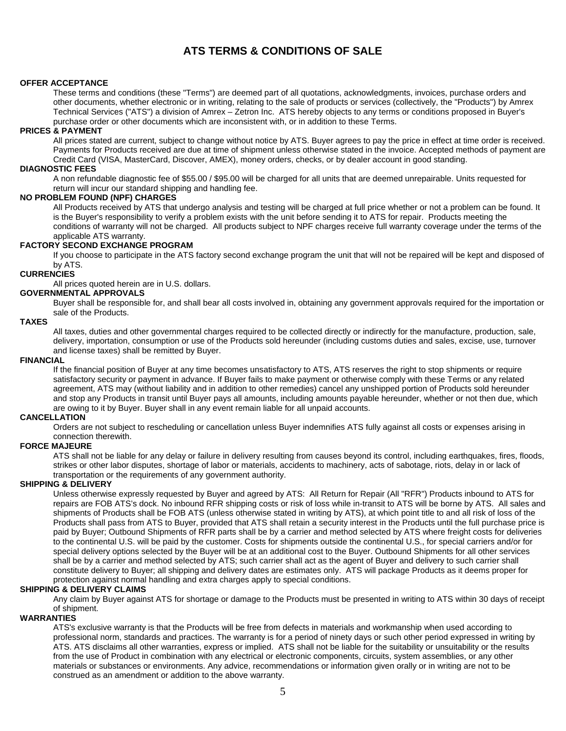# **ATS TERMS & CONDITIONS OF SALE**

#### **OFFER ACCEPTANCE**

These terms and conditions (these "Terms") are deemed part of all quotations, acknowledgments, invoices, purchase orders and other documents, whether electronic or in writing, relating to the sale of products or services (collectively, the "Products") by Amrex Technical Services ("ATS") a division of Amrex – Zetron Inc. ATS hereby objects to any terms or conditions proposed in Buyer's purchase order or other documents which are inconsistent with, or in addition to these Terms.

#### **PRICES & PAYMENT**

All prices stated are current, subject to change without notice by ATS. Buyer agrees to pay the price in effect at time order is received. Payments for Products received are due at time of shipment unless otherwise stated in the invoice. Accepted methods of payment are Credit Card (VISA, MasterCard, Discover, AMEX), money orders, checks, or by dealer account in good standing.

#### **DIAGNOSTIC FEES**

A non refundable diagnostic fee of \$55.00 / \$95.00 will be charged for all units that are deemed unrepairable. Units requested for return will incur our standard shipping and handling fee.

#### **NO PROBLEM FOUND (NPF) CHARGES**

All Products received by ATS that undergo analysis and testing will be charged at full price whether or not a problem can be found. It is the Buyer's responsibility to verify a problem exists with the unit before sending it to ATS for repair. Products meeting the conditions of warranty will not be charged. All products subject to NPF charges receive full warranty coverage under the terms of the applicable ATS warranty.

#### **FACTORY SECOND EXCHANGE PROGRAM**

If you choose to participate in the ATS factory second exchange program the unit that will not be repaired will be kept and disposed of by ATS.

#### **CURRENCIES**

All prices quoted herein are in U.S. dollars.

#### **GOVERNMENTAL APPROVALS**

Buyer shall be responsible for, and shall bear all costs involved in, obtaining any government approvals required for the importation or sale of the Products.

#### **TAXES**

All taxes, duties and other governmental charges required to be collected directly or indirectly for the manufacture, production, sale, delivery, importation, consumption or use of the Products sold hereunder (including customs duties and sales, excise, use, turnover and license taxes) shall be remitted by Buyer.

#### **FINANCIAL**

If the financial position of Buyer at any time becomes unsatisfactory to ATS, ATS reserves the right to stop shipments or require satisfactory security or payment in advance. If Buyer fails to make payment or otherwise comply with these Terms or any related agreement, ATS may (without liability and in addition to other remedies) cancel any unshipped portion of Products sold hereunder and stop any Products in transit until Buyer pays all amounts, including amounts payable hereunder, whether or not then due, which are owing to it by Buyer. Buyer shall in any event remain liable for all unpaid accounts.

#### **CANCELLATION**

Orders are not subject to rescheduling or cancellation unless Buyer indemnifies ATS fully against all costs or expenses arising in connection therewith.

#### **FORCE MAJEURE**

ATS shall not be liable for any delay or failure in delivery resulting from causes beyond its control, including earthquakes, fires, floods, strikes or other labor disputes, shortage of labor or materials, accidents to machinery, acts of sabotage, riots, delay in or lack of transportation or the requirements of any government authority.

#### **SHIPPING & DELIVERY**

Unless otherwise expressly requested by Buyer and agreed by ATS: All Return for Repair (All "RFR") Products inbound to ATS for repairs are FOB ATS's dock. No inbound RFR shipping costs or risk of loss while in-transit to ATS will be borne by ATS. All sales and shipments of Products shall be FOB ATS (unless otherwise stated in writing by ATS), at which point title to and all risk of loss of the Products shall pass from ATS to Buyer, provided that ATS shall retain a security interest in the Products until the full purchase price is paid by Buyer; Outbound Shipments of RFR parts shall be by a carrier and method selected by ATS where freight costs for deliveries to the continental U.S. will be paid by the customer. Costs for shipments outside the continental U.S., for special carriers and/or for special delivery options selected by the Buyer will be at an additional cost to the Buyer. Outbound Shipments for all other services shall be by a carrier and method selected by ATS; such carrier shall act as the agent of Buyer and delivery to such carrier shall constitute delivery to Buyer; all shipping and delivery dates are estimates only. ATS will package Products as it deems proper for protection against normal handling and extra charges apply to special conditions.

#### **SHIPPING & DELIVERY CLAIMS**

Any claim by Buyer against ATS for shortage or damage to the Products must be presented in writing to ATS within 30 days of receipt of shipment.

#### **WARRANTIES**

ATS's exclusive warranty is that the Products will be free from defects in materials and workmanship when used according to professional norm, standards and practices. The warranty is for a period of ninety days or such other period expressed in writing by ATS. ATS disclaims all other warranties, express or implied. ATS shall not be liable for the suitability or unsuitability or the results from the use of Product in combination with any electrical or electronic components, circuits, system assemblies, or any other materials or substances or environments. Any advice, recommendations or information given orally or in writing are not to be construed as an amendment or addition to the above warranty.